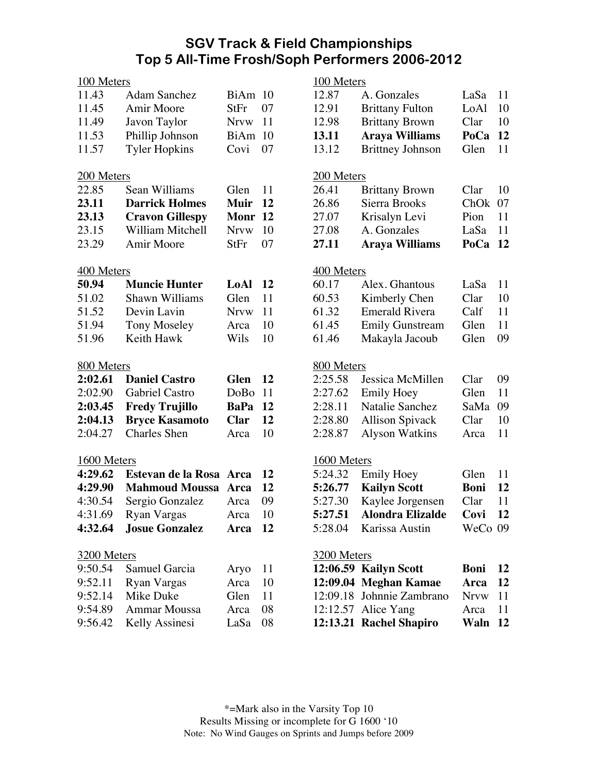## **SGV Track & Field Championships Top 5 All-Time Frosh/Soph Performers 2006-2012**

| 100 Meters         |                            |             |           | 100 Meters  |                           |             |    |  |
|--------------------|----------------------------|-------------|-----------|-------------|---------------------------|-------------|----|--|
| 11.43              | <b>Adam Sanchez</b>        | BiAm 10     |           | 12.87       | A. Gonzales               | LaSa        | 11 |  |
| 11.45              | Amir Moore                 | StFr        | 07        | 12.91       | <b>Brittany Fulton</b>    | LoAl        | 10 |  |
| 11.49              | Javon Taylor               | <b>Nrvw</b> | 11        | 12.98       | <b>Brittany Brown</b>     | Clar        | 10 |  |
| 11.53              | Phillip Johnson            | BiAm 10     |           | 13.11       | <b>Araya Williams</b>     | PoCa        | 12 |  |
| 11.57              | <b>Tyler Hopkins</b>       | Covi        | 07        | 13.12       | <b>Brittney Johnson</b>   | Glen        | 11 |  |
| 200 Meters         |                            |             |           | 200 Meters  |                           |             |    |  |
| 22.85              | Sean Williams              | Glen        | 11        | 26.41       | <b>Brittany Brown</b>     | Clar        | 10 |  |
| 23.11              | <b>Darrick Holmes</b>      | <b>Muir</b> | <b>12</b> | 26.86       | Sierra Brooks             | ChOk        | 07 |  |
| 23.13              | <b>Cravon Gillespy</b>     | Monr 12     |           | 27.07       | Krisalyn Levi             | Pion        | 11 |  |
| 23.15              | William Mitchell           | <b>Nrvw</b> | 10        | 27.08       | A. Gonzales               | LaSa        | 11 |  |
| 23.29              | Amir Moore                 | <b>StFr</b> | 07        | 27.11       | <b>Araya Williams</b>     | PoCa        | 12 |  |
| 400 Meters         |                            |             |           | 400 Meters  |                           |             |    |  |
| 50.94              | <b>Muncie Hunter</b>       | LoAl        | - 12      | 60.17       | Alex. Ghantous            | LaSa        | 11 |  |
| 51.02              | Shawn Williams             | Glen        | 11        | 60.53       | Kimberly Chen             | Clar        | 10 |  |
| 51.52              | Devin Lavin                | <b>Nrvw</b> | 11        | 61.32       | <b>Emerald Rivera</b>     | Calf        | 11 |  |
| 51.94              | <b>Tony Moseley</b>        | Arca        | 10        | 61.45       | <b>Emily Gunstream</b>    | Glen        | 11 |  |
| 51.96              | Keith Hawk                 | Wils        | 10        | 61.46       | Makayla Jacoub            | Glen        | 09 |  |
| 800 Meters         |                            |             |           | 800 Meters  |                           |             |    |  |
| 2:02.61            | <b>Daniel Castro</b>       | <b>Glen</b> | <b>12</b> | 2:25.58     | Jessica McMillen          | Clar        | 09 |  |
| 2:02.90            | Gabriel Castro             | DoBo        | 11        | 2:27.62     | <b>Emily Hoey</b>         | Glen        | 11 |  |
| 2:03.45            | <b>Fredy Trujillo</b>      | <b>BaPa</b> | 12        | 2:28.11     | Natalie Sanchez           | SaMa        | 09 |  |
| 2:04.13            | <b>Bryce Kasamoto</b>      | <b>Clar</b> | 12        | 2:28.80     | <b>Allison Spivack</b>    | Clar        | 10 |  |
| 2:04.27            | <b>Charles</b> Shen        | Arca        | 10        | 2:28.87     | <b>Alyson Watkins</b>     | Arca        | 11 |  |
| 1600 Meters        |                            |             |           | 1600 Meters |                           |             |    |  |
| 4:29.62            | Estevan de la Rosa Arca    |             | 12        | 5:24.32     | <b>Emily Hoey</b>         | Glen        | 11 |  |
| 4:29.90            | <b>Mahmoud Moussa Arca</b> |             | 12        | 5:26.77     | <b>Kailyn Scott</b>       | <b>Boni</b> | 12 |  |
| 4:30.54            | Sergio Gonzalez            | Arca        | 09        | 5:27.30     | Kaylee Jorgensen          | Clar        | 11 |  |
| 4:31.69            | Ryan Vargas                | Arca        | 10        | 5:27.51     | <b>Alondra Elizalde</b>   | Covi        | 12 |  |
| 4:32.64            | <b>Josue Gonzalez</b>      | Arca 12     |           | 5:28.04     | Karissa Austin            | WeCo 09     |    |  |
| <b>3200 Meters</b> |                            |             |           | 3200 Meters |                           |             |    |  |
| 9:50.54            | Samuel Garcia              | Aryo        | 11        |             | 12:06.59 Kailyn Scott     | <b>Boni</b> | 12 |  |
| 9:52.11            | Ryan Vargas                | Arca        | 10        |             | 12:09.04 Meghan Kamae     | Arca        | 12 |  |
| 9:52.14            | Mike Duke                  | Glen        | 11        |             | 12:09.18 Johnnie Zambrano | <b>Nrvw</b> | 11 |  |
| 9:54.89            | <b>Ammar Moussa</b>        | Arca        | 08        |             | 12:12.57 Alice Yang       | Arca        | 11 |  |
| 9:56.42            | Kelly Assinesi             | LaSa        | 08        |             | 12:13.21 Rachel Shapiro   | Waln 12     |    |  |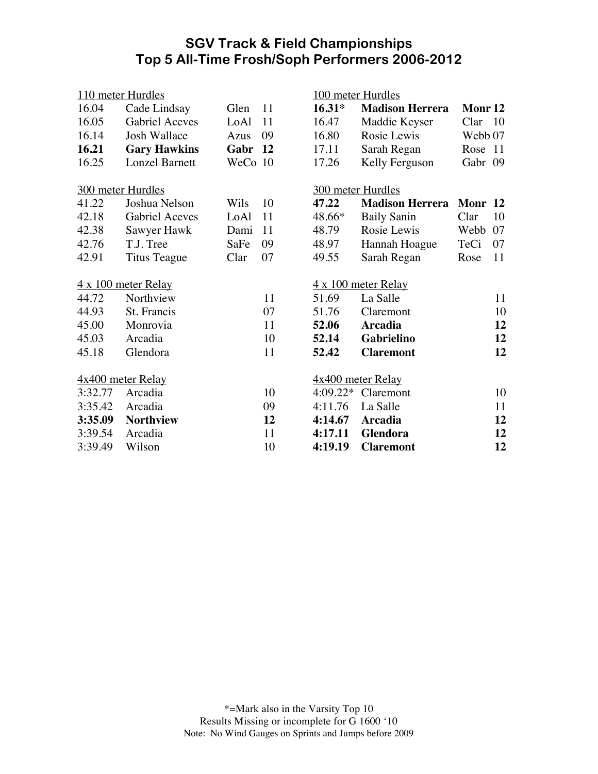## **SGV Track & Field Championships Top 5 All-Time Frosh/Soph Performers 2006-2012**

| 110 meter Hurdles          |                       |         |                            | 100 meter Hurdles   |                        |             |           |  |
|----------------------------|-----------------------|---------|----------------------------|---------------------|------------------------|-------------|-----------|--|
| 16.04                      | Cade Lindsay          | Glen    | 11                         | $16.31*$            | <b>Madison Herrera</b> | Monr 12     |           |  |
| 16.05                      | <b>Gabriel Aceves</b> | LoAl    | 11                         | 16.47               | Maddie Keyser          | Clar        | 10        |  |
| 16.14                      | Josh Wallace          | Azus    | 09                         | 16.80               | Rosie Lewis            | Webb 07     |           |  |
| 16.21                      | <b>Gary Hawkins</b>   | Gabr    | <b>12</b>                  | 17.11               | Sarah Regan            | Rose        | 11        |  |
| 16.25                      | <b>Lonzel Barnett</b> | WeCo 10 |                            | 17.26               | Kelly Ferguson         | Gabr 09     |           |  |
| 300 meter Hurdles          |                       |         | 300 meter Hurdles          |                     |                        |             |           |  |
| 41.22                      | Joshua Nelson         | Wils    | 10                         | 47.22               | <b>Madison Herrera</b> | <b>Monr</b> | <b>12</b> |  |
| 42.18                      | <b>Gabriel Aceves</b> | LoAl    | 11                         | 48.66*              | <b>Baily Sanin</b>     | Clar        | 10        |  |
| 42.38                      | Sawyer Hawk           | Dami    | 11                         | 48.79               | Rosie Lewis            | Webb        | 07        |  |
| 42.76                      | T.J. Tree             | SaFe    | 09                         | 48.97               | Hannah Hoague          | TeCi        | 07        |  |
| 42.91                      | Titus Teague          | Clar    | 07                         | 49.55               | Sarah Regan            | Rose        | 11        |  |
| $4 \times 100$ meter Relay |                       |         | $4 \times 100$ meter Relay |                     |                        |             |           |  |
| 44.72                      | Northview             |         | 11                         | 51.69               | La Salle               |             | 11        |  |
| 44.93                      | St. Francis           |         | 07                         | 51.76               | Claremont              |             | 10        |  |
| 45.00                      | Monrovia              |         | 11                         | 52.06               | <b>Arcadia</b>         |             | 12        |  |
| 45.03                      | Arcadia               |         | 10                         | 52.14               | Gabrielino             |             | 12        |  |
| 45.18                      | Glendora              |         | 11                         | 52.42               | <b>Claremont</b>       |             | 12        |  |
| $4x400$ meter Relay        |                       |         |                            | $4x400$ meter Relay |                        |             |           |  |
| 3:32.77                    | Arcadia               |         | 10                         | $4:09.22*$          | Claremont              |             | 10        |  |
| 3:35.42                    | Arcadia               |         | 09                         | 4:11.76             | La Salle               |             | 11        |  |
| 3:35.09                    | <b>Northview</b>      |         | 12                         | 4:14.67             | <b>Arcadia</b>         |             | 12        |  |
| 3:39.54                    | Arcadia               |         | 11                         | 4:17.11             | Glendora               |             | 12        |  |
| 3:39.49                    | Wilson                |         | 10                         | 4:19.19             | <b>Claremont</b>       |             | 12        |  |